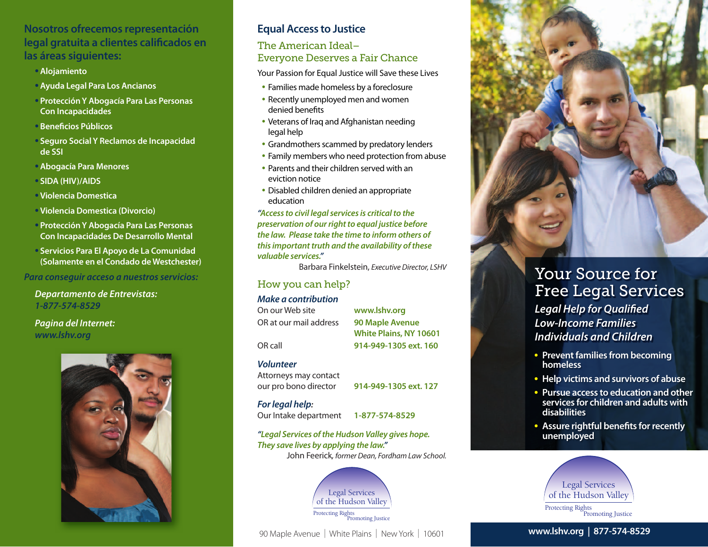## **Nosotros ofrecemos representación legal gratuita a clientes calificados en las áreas siguientes:**

- **• Alojamiento**
- **• Ayuda Legal Para Los Ancianos**
- **• Protección Y Abogacía Para Las Personas Con Incapacidades**
- **• Beneficios Públicos**
- **• Seguro Social Y Reclamos de Incapacidad de SSI**
- **• Abogacía Para Menores**
- **• SIDA (HIV)/AIDS**
- **• Violencia Domestica**
- **• Violencia Domestica (Divorcio)**
- **• Protección Y Abogacía Para Las Personas Con Incapacidades De Desarrollo Mental**
- **• Servicios Para El Apoyo de La Comunidad (Solamente en el Condado de Westchester)**

*Para conseguir acceso a nuestros servicios:*

*Departamento de Entrevistas: 1-877-574-8529*

*Pagina del Internet: www.lshv.org*



## **Equal Access to Justice**

#### The American Ideal– Everyone Deserves a Fair Chance

Your Passion for Equal Justice will Save these Lives

- Families made homeless by a foreclosure
- Recently unemployed men and women denied benefits
- Veterans of Iraq and Afghanistan needing legal help
- Grandmothers scammed by predatory lenders
- Family members who need protection from abuse
- Parents and their children served with an eviction notice
- Disabled children denied an appropriate education

*"Access to civil legal services is critical to the preservation of our right to equal justice before the law. Please take the time to inform others of this important truth and the availability of these valuable services."*

Barbara Finkelstein, *Executive Director, LSHV*

#### How you can help?

#### *Make a contribution*

On our Web site **www.lshv.org** OR at our mail address **90 Maple Avenue**

**White Plains, NY 10601** OR call **914-949-1305 ext. 160**

#### *Volunteer*

Attorneys may contact our pro bono director **914-949-1305 ext. 127**

#### *For legal help:*

Our Intake department **1-877-574-8529**

*"Legal Services of the Hudson Valley gives hope. They save lives by applying the law."*  John Feerick*, former Dean, Fordham Law School.*



90 Maple Avenue | White Plains | New York | 10601



# Your Source for Free Legal Services

*Legal Help for Qualified Low-Income Families Individuals and Children*

- **• Prevent families from becoming homeless**
- **• Help victims and survivors of abuse**
- **• Pursue access to education and other services for children and adults with disabilities**
- **• Assure rightful benefits for recently unemployed**



#### **www.lshv.org | 877-574-8529**